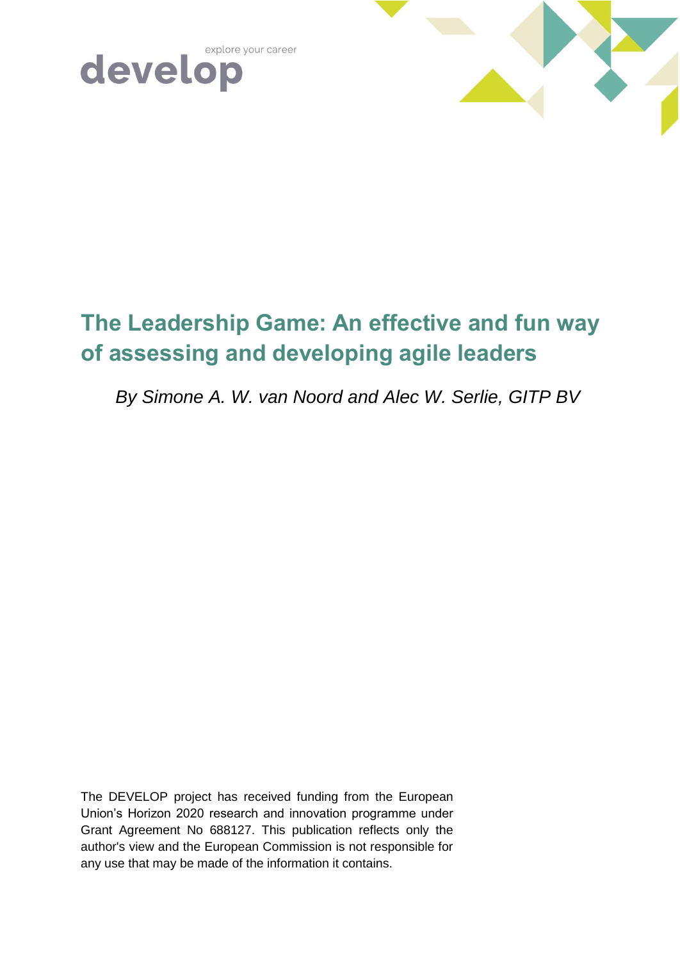





# **The Leadership Game: An effective and fun way of assessing and developing agile leaders**

*By Simone A. W. van Noord and Alec W. Serlie, GITP BV*

The DEVELOP project has received funding from the European Union's Horizon 2020 research and innovation programme under Grant Agreement No 688127. This publication reflects only the author's view and the European Commission is not responsible for any use that may be made of the information it contains.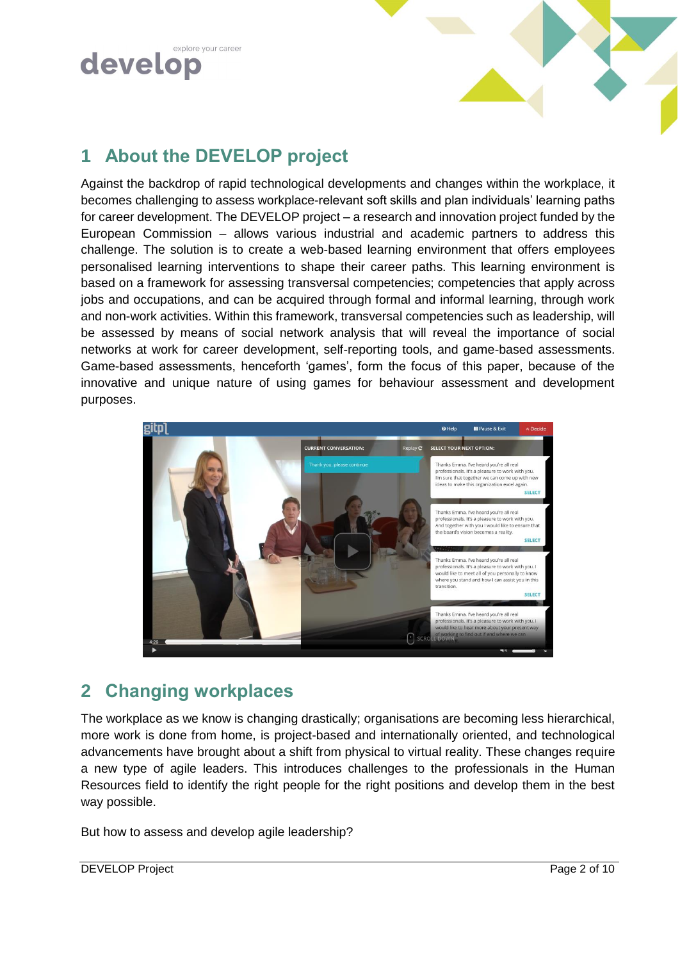



## **1 About the DEVELOP project**

Against the backdrop of rapid technological developments and changes within the workplace, it becomes challenging to assess workplace-relevant soft skills and plan individuals' learning paths for career development. The DEVELOP project – a research and innovation project funded by the European Commission – allows various industrial and academic partners to address this challenge. The solution is to create a web-based learning environment that offers employees personalised learning interventions to shape their career paths. This learning environment is based on a framework for assessing transversal competencies; competencies that apply across jobs and occupations, and can be acquired through formal and informal learning, through work and non-work activities. Within this framework, transversal competencies such as leadership, will be assessed by means of social network analysis that will reveal the importance of social networks at work for career development, self-reporting tools, and game-based assessments. Game-based assessments, henceforth 'games', form the focus of this paper, because of the innovative and unique nature of using games for behaviour assessment and development purposes.



## **2 Changing workplaces**

The workplace as we know is changing drastically; organisations are becoming less hierarchical, more work is done from home, is project-based and internationally oriented, and technological advancements have brought about a shift from physical to virtual reality. These changes require a new type of agile leaders. This introduces challenges to the professionals in the Human Resources field to identify the right people for the right positions and develop them in the best way possible.

But how to assess and develop agile leadership?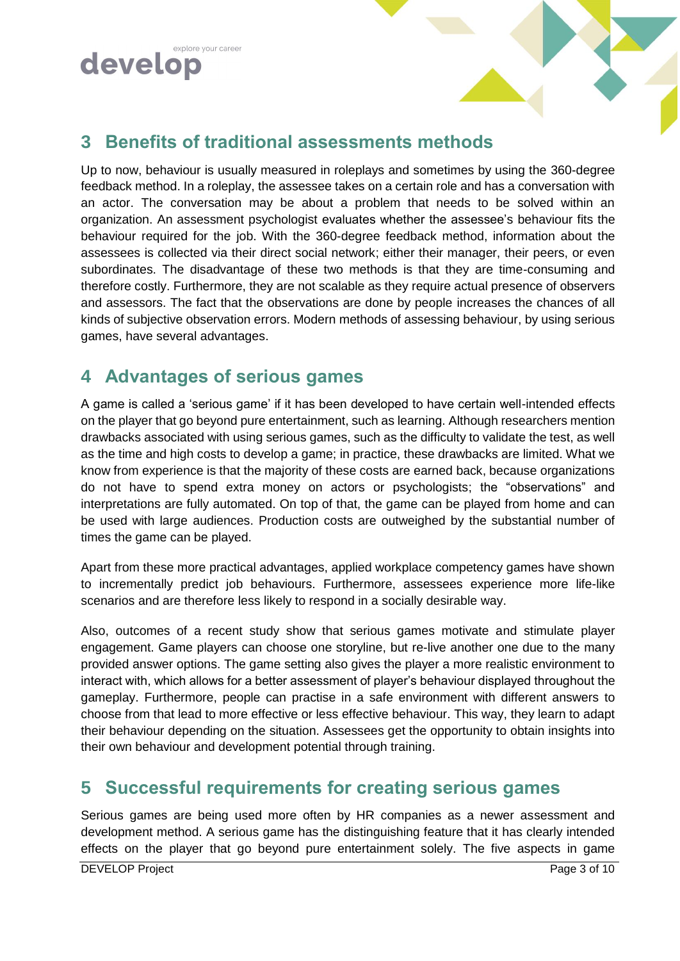



## **3 Benefits of traditional assessments methods**

Up to now, behaviour is usually measured in roleplays and sometimes by using the 360-degree feedback method. In a roleplay, the assessee takes on a certain role and has a conversation with an actor. The conversation may be about a problem that needs to be solved within an organization. An assessment psychologist evaluates whether the assessee's behaviour fits the behaviour required for the job. With the 360-degree feedback method, information about the assessees is collected via their direct social network; either their manager, their peers, or even subordinates. The disadvantage of these two methods is that they are time-consuming and therefore costly. Furthermore, they are not scalable as they require actual presence of observers and assessors. The fact that the observations are done by people increases the chances of all kinds of subjective observation errors. Modern methods of assessing behaviour, by using serious games, have several advantages.

## **4 Advantages of serious games**

A game is called a 'serious game' if it has been developed to have certain well-intended effects on the player that go beyond pure entertainment, such as learning. Although researchers mention drawbacks associated with using serious games, such as the difficulty to validate the test, as well as the time and high costs to develop a game; in practice, these drawbacks are limited. What we know from experience is that the majority of these costs are earned back, because organizations do not have to spend extra money on actors or psychologists; the "observations" and interpretations are fully automated. On top of that, the game can be played from home and can be used with large audiences. Production costs are outweighed by the substantial number of times the game can be played.

Apart from these more practical advantages, applied workplace competency games have shown to incrementally predict job behaviours. Furthermore, assessees experience more life-like scenarios and are therefore less likely to respond in a socially desirable way.

Also, outcomes of a recent study show that serious games motivate and stimulate player engagement. Game players can choose one storyline, but re-live another one due to the many provided answer options. The game setting also gives the player a more realistic environment to interact with, which allows for a better assessment of player's behaviour displayed throughout the gameplay. Furthermore, people can practise in a safe environment with different answers to choose from that lead to more effective or less effective behaviour. This way, they learn to adapt their behaviour depending on the situation. Assessees get the opportunity to obtain insights into their own behaviour and development potential through training.

## **5 Successful requirements for creating serious games**

Serious games are being used more often by HR companies as a newer assessment and development method. A serious game has the distinguishing feature that it has clearly intended effects on the player that go beyond pure entertainment solely. The five aspects in game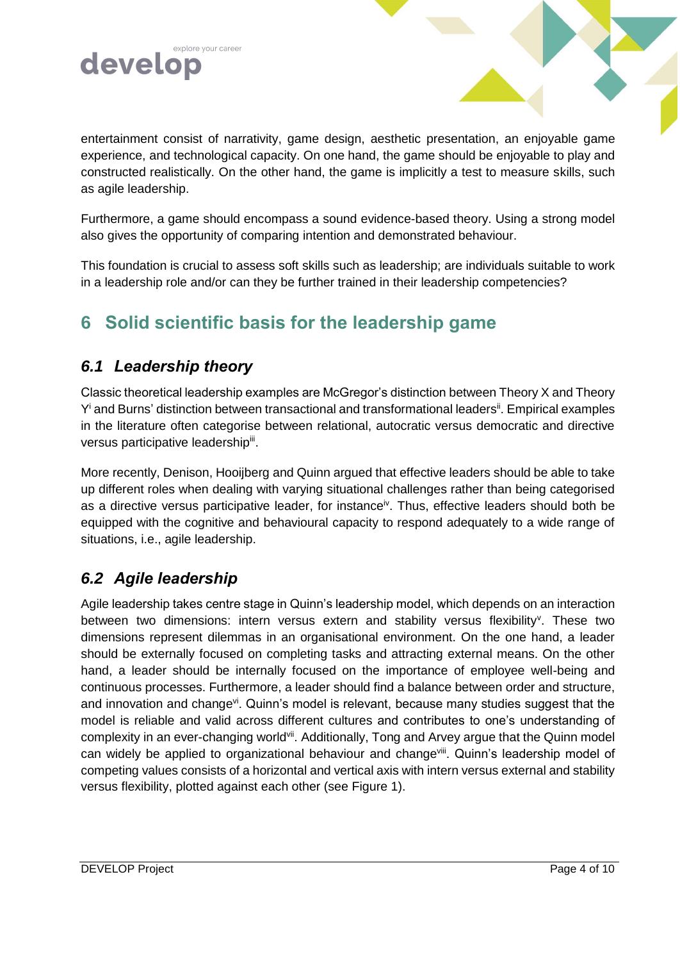

entertainment consist of narrativity, game design, aesthetic presentation, an enjoyable game experience, and technological capacity. On one hand, the game should be enjoyable to play and constructed realistically. On the other hand, the game is implicitly a test to measure skills, such as agile leadership.

Furthermore, a game should encompass a sound evidence-based theory. Using a strong model also gives the opportunity of comparing intention and demonstrated behaviour.

This foundation is crucial to assess soft skills such as leadership; are individuals suitable to work in a leadership role and/or can they be further trained in their leadership competencies?

## **6 Solid scientific basis for the leadership game**

### *6.1 Leadership theory*

Classic theoretical leadership examples are McGregor's distinction between Theory X and Theory Y<sup>i</sup> and Burns' distinction between transactional and transformational leaders<sup>ii</sup>. Empirical examples in the literature often categorise between relational, autocratic versus democratic and directive versus participative leadership<sup>iii</sup>.

<span id="page-3-1"></span>More recently, Denison, Hooijberg and Quinn argued that effective leaders should be able to take up different roles when dealing with varying situational challenges rather than being categorised as a directive versus participative leader, for instance<sup>iv</sup>. Thus, effective leaders should both be equipped with the cognitive and behavioural capacity to respond adequately to a wide range of situations, i.e., agile leadership.

### *6.2 Agile leadership*

<span id="page-3-0"></span>Agile leadership takes centre stage in Quinn's leadership model, which depends on an interaction between two dimensions: intern versus extern and stability versus flexibility<sup>v</sup>. These two dimensions represent dilemmas in an organisational environment. On the one hand, a leader should be externally focused on completing tasks and attracting external means. On the other hand, a leader should be internally focused on the importance of employee well-being and continuous processes. Furthermore, a leader should find a balance between order and structure, and innovation and change<sup>vi</sup>. Quinn's model is relevant, because many studies suggest that the model is reliable and valid across different cultures and contributes to one's understanding of complexity in an ever-changing world<sup>vii</sup>. Additionally, Tong and Arvey argue that the Quinn model can widely be applied to organizational behaviour and change<sup>viii</sup>. Quinn's leadership model of competing values consists of a horizontal and vertical axis with intern versus external and stability versus flexibility, plotted against each other (see Figure 1).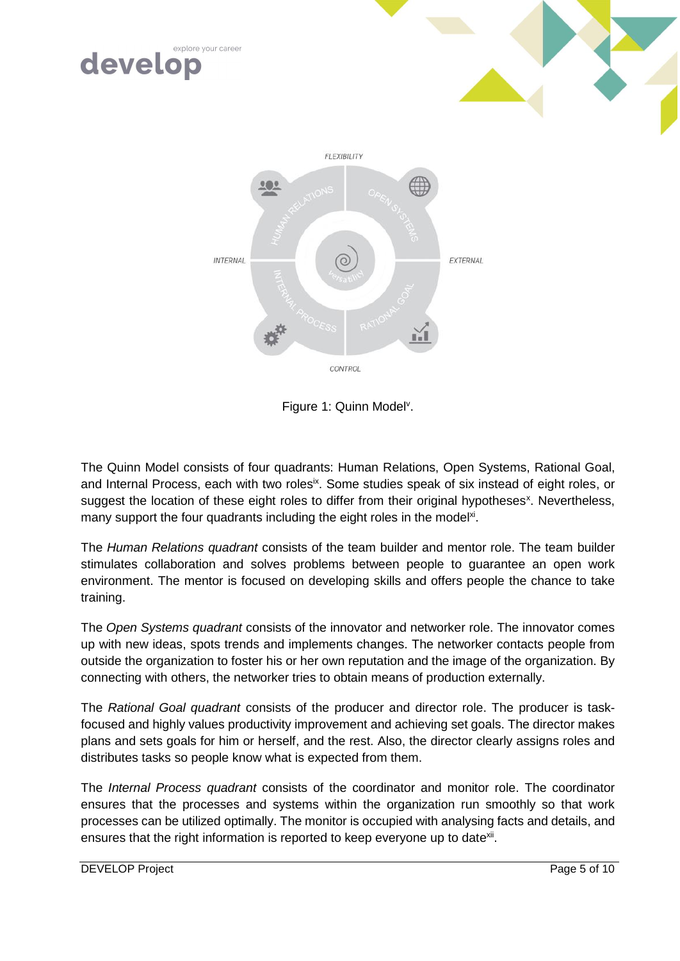

CONTROL

Figure 1: Quinn Model<sup>v</sup>[.](#page-3-0)

The Quinn Model consists of four quadrants: Human Relations, Open Systems, Rational Goal, and Internal Process, each with two roles<sup>ix</sup>. Some studies speak of six instead of eight roles, or suggest the location of these eight roles to differ from their original hypotheses<sup>x</sup>. Nevertheless, many support the four quadrants including the eight roles in the model<sup>xi</sup>.

The *Human Relations quadrant* consists of the team builder and mentor role. The team builder stimulates collaboration and solves problems between people to guarantee an open work environment. The mentor is focused on developing skills and offers people the chance to take training.

The *Open Systems quadrant* consists of the innovator and networker role. The innovator comes up with new ideas, spots trends and implements changes. The networker contacts people from outside the organization to foster his or her own reputation and the image of the organization. By connecting with others, the networker tries to obtain means of production externally.

The *Rational Goal quadrant* consists of the producer and director role. The producer is taskfocused and highly values productivity improvement and achieving set goals. The director makes plans and sets goals for him or herself, and the rest. Also, the director clearly assigns roles and distributes tasks so people know what is expected from them.

The *Internal Process quadrant* consists of the coordinator and monitor role. The coordinator ensures that the processes and systems within the organization run smoothly so that work processes can be utilized optimally. The monitor is occupied with analysing facts and details, and ensures that the right information is reported to keep everyone up to date<sup>xii</sup>.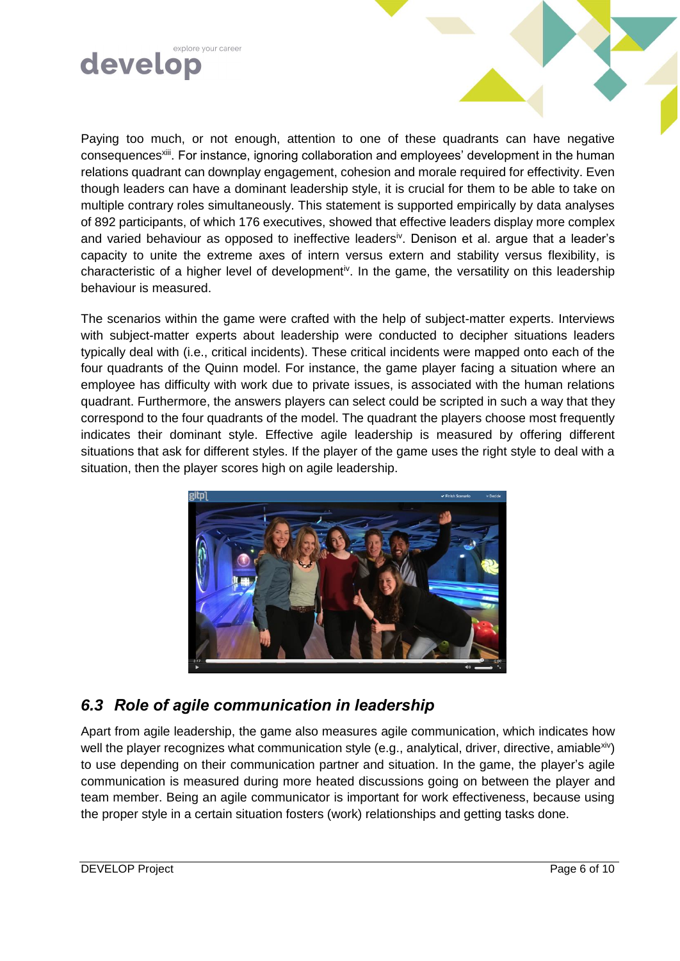

Paying too much, or not enough, attention to one of these quadrants can have negative consequences<sup>xiii</sup>. For instance, ignoring collaboration and employees' development in the human relations quadrant can downplay engagement, cohesion and morale required for effectivity. Even though leaders can have a dominant leadership style, it is crucial for them to be able to take on multiple contrary roles simultaneously. This statement is supported empirically by data analyses of 892 participants, of which 176 executives, showed that effective leaders display more complex and varied behaviour as opposed to ineffect[iv](#page-3-1)e leaders<sup>iv</sup>. Denison et al. argue that a leader's capacity to unite the extreme axes of intern versus extern and stability versus flexibility, is characteristic of a higher level of development<sup>[iv](#page-3-1)</sup>. In the game, the versatility on this leadership behaviour is measured.

The scenarios within the game were crafted with the help of subject-matter experts. Interviews with subject-matter experts about leadership were conducted to decipher situations leaders typically deal with (i.e., critical incidents). These critical incidents were mapped onto each of the four quadrants of the Quinn model. For instance, the game player facing a situation where an employee has difficulty with work due to private issues, is associated with the human relations quadrant. Furthermore, the answers players can select could be scripted in such a way that they correspond to the four quadrants of the model. The quadrant the players choose most frequently indicates their dominant style. Effective agile leadership is measured by offering different situations that ask for different styles. If the player of the game uses the right style to deal with a situation, then the player scores high on agile leadership.



### *6.3 Role of agile communication in leadership*

Apart from agile leadership, the game also measures agile communication, which indicates how well the player recognizes what communication style (e.g., analytical, driver, directive, amiablexiv) to use depending on their communication partner and situation. In the game, the player's agile communication is measured during more heated discussions going on between the player and team member. Being an agile communicator is important for work effectiveness, because using the proper style in a certain situation fosters (work) relationships and getting tasks done.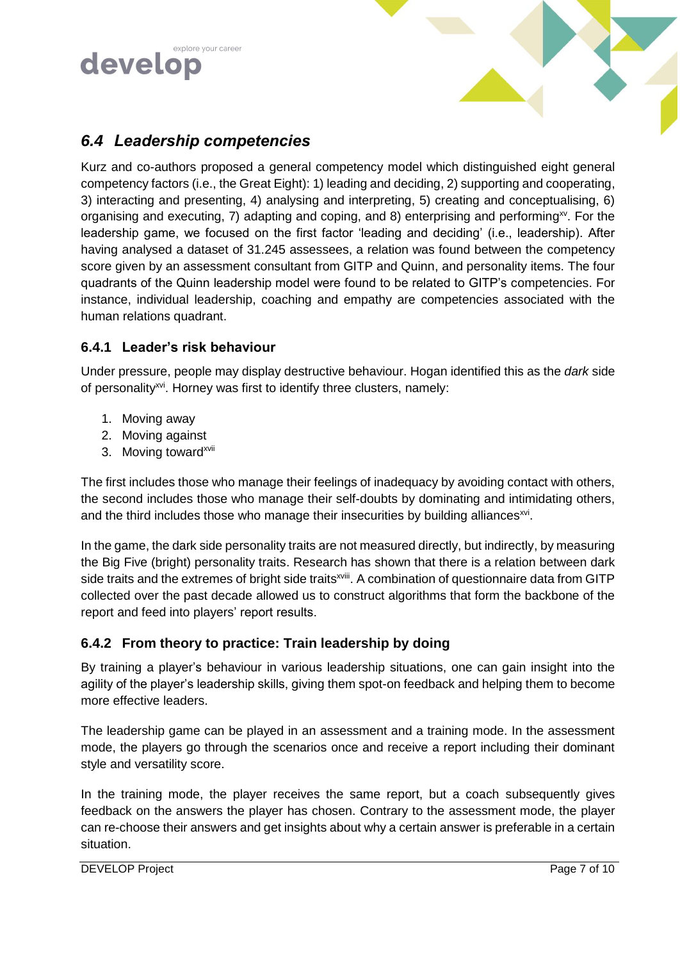



#### *6.4 Leadership competencies*

Kurz and co-authors proposed a general competency model which distinguished eight general competency factors (i.e., the Great Eight): 1) leading and deciding, 2) supporting and cooperating, 3) interacting and presenting, 4) analysing and interpreting, 5) creating and conceptualising, 6) organising and executing, 7) adapting and coping, and 8) enterprising and performing<sup>xv</sup>. For the leadership game, we focused on the first factor 'leading and deciding' (i.e., leadership). After having analysed a dataset of 31.245 assessees, a relation was found between the competency score given by an assessment consultant from GITP and Quinn, and personality items. The four quadrants of the Quinn leadership model were found to be related to GITP's competencies. For instance, individual leadership, coaching and empathy are competencies associated with the human relations quadrant.

#### **6.4.1 Leader's risk behaviour**

Under pressure, people may display destructive behaviour. Hogan identified this as the *dark* side of personality<sup>xvi</sup>. Horney was first to identify three clusters, namely:

- <span id="page-6-0"></span>1. Moving away
- 2. Moving against
- 3. Moving toward<sup>xvii</sup>

The first includes those who manage their feelings of inadequacy by avoiding contact with others, the second includes those who manage their self-doubts by dominating and intimidating others, and the third includes those who manage their insecurities by building alliances $^{xvi}$  $^{xvi}$  $^{xvi}$ .

In the game, the dark side personality traits are not measured directly, but indirectly, by measuring the Big Five (bright) personality traits. Research has shown that there is a relation between dark side traits and the extremes of bright side traits<sup>xviii</sup>. A combination of questionnaire data from GITP collected over the past decade allowed us to construct algorithms that form the backbone of the report and feed into players' report results.

#### **6.4.2 From theory to practice: Train leadership by doing**

By training a player's behaviour in various leadership situations, one can gain insight into the agility of the player's leadership skills, giving them spot-on feedback and helping them to become more effective leaders.

The leadership game can be played in an assessment and a training mode. In the assessment mode, the players go through the scenarios once and receive a report including their dominant style and versatility score.

In the training mode, the player receives the same report, but a coach subsequently gives feedback on the answers the player has chosen. Contrary to the assessment mode, the player can re-choose their answers and get insights about why a certain answer is preferable in a certain situation.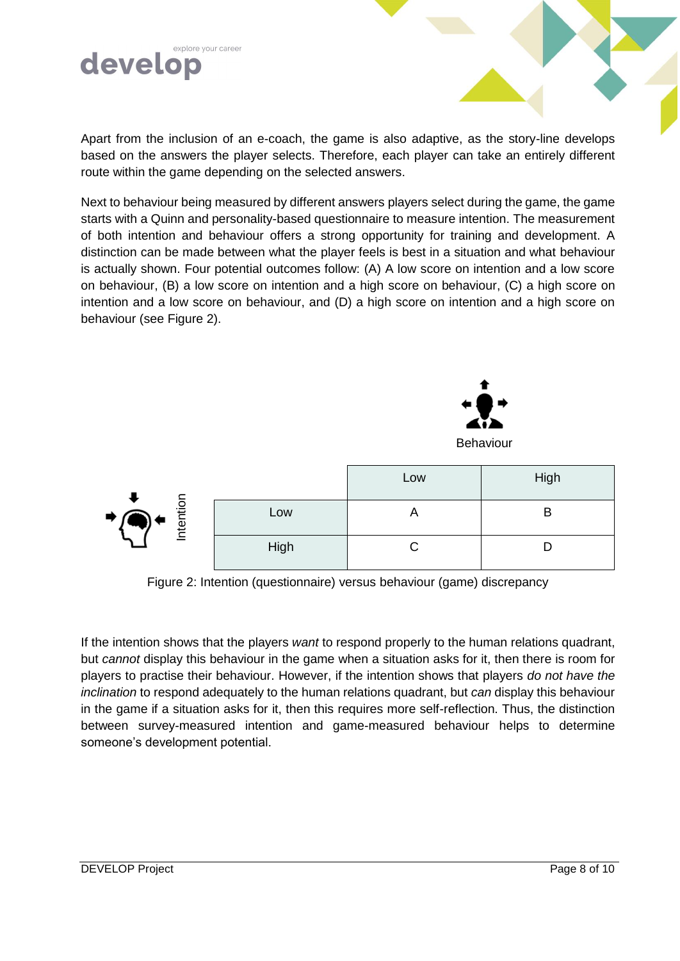

Apart from the inclusion of an e-coach, the game is also adaptive, as the story-line develops based on the answers the player selects. Therefore, each player can take an entirely different route within the game depending on the selected answers.

Next to behaviour being measured by different answers players select during the game, the game starts with a Quinn and personality-based questionnaire to measure intention. The measurement of both intention and behaviour offers a strong opportunity for training and development. A distinction can be made between what the player feels is best in a situation and what behaviour is actually shown. Four potential outcomes follow: (A) A low score on intention and a low score on behaviour, (B) a low score on intention and a high score on behaviour, (C) a high score on intention and a low score on behaviour, and (D) a high score on intention and a high score on behaviour (see Figure 2).



| $\bigoplus_{i=1}^{\infty} \mathbf{A} \subseteq \mathbb{R}$<br>Inter |      | Low | High |
|---------------------------------------------------------------------|------|-----|------|
|                                                                     | Low  |     | E    |
|                                                                     | High |     |      |

Figure 2: Intention (questionnaire) versus behaviour (game) discrepancy

If the intention shows that the players *want* to respond properly to the human relations quadrant, but *cannot* display this behaviour in the game when a situation asks for it, then there is room for players to practise their behaviour. However, if the intention shows that players *do not have the inclination* to respond adequately to the human relations quadrant, but *can* display this behaviour in the game if a situation asks for it, then this requires more self-reflection. Thus, the distinction between survey-measured intention and game-measured behaviour helps to determine someone's development potential.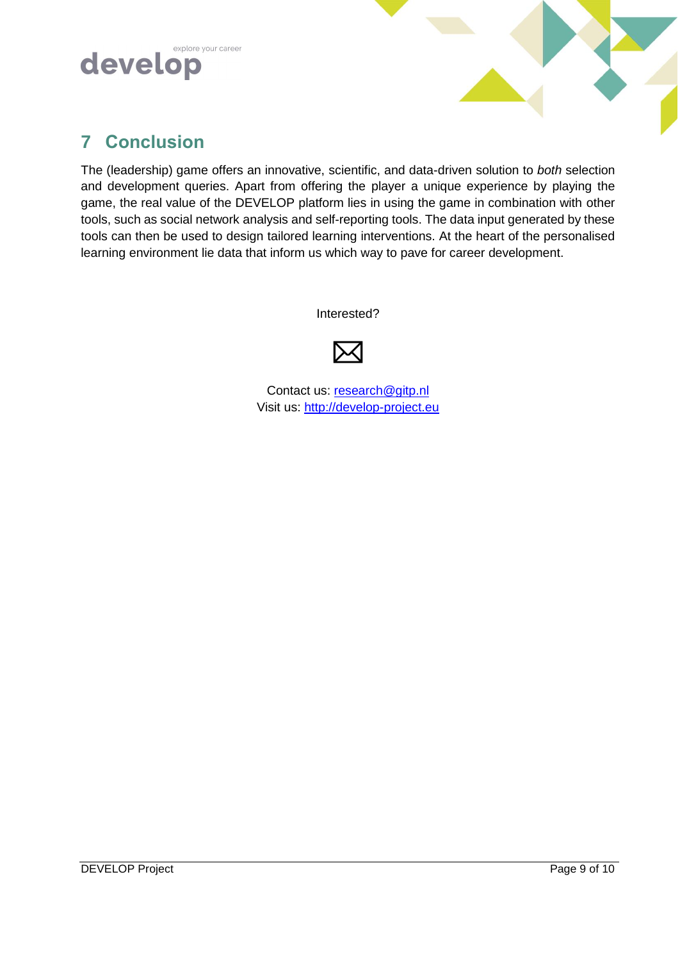



# **7 Conclusion**

The (leadership) game offers an innovative, scientific, and data-driven solution to *both* selection and development queries. Apart from offering the player a unique experience by playing the game, the real value of the DEVELOP platform lies in using the game in combination with other tools, such as social network analysis and self-reporting tools. The data input generated by these tools can then be used to design tailored learning interventions. At the heart of the personalised learning environment lie data that inform us which way to pave for career development.

Interested?



Contact us: [research@gitp.nl](mailto:research@gitp.nl) Visit us: [http://develop-project.eu](http://develop-project.eu/)